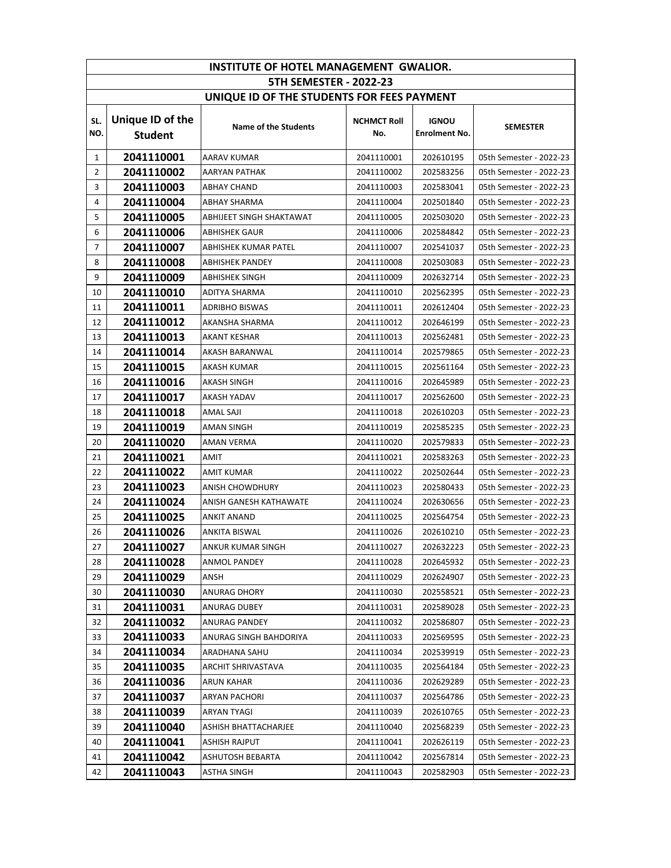| INSTITUTE OF HOTEL MANAGEMENT GWALIOR.     |                  |                          |                    |                      |                         |  |
|--------------------------------------------|------------------|--------------------------|--------------------|----------------------|-------------------------|--|
| <b>5TH SEMESTER - 2022-23</b>              |                  |                          |                    |                      |                         |  |
| UNIQUE ID OF THE STUDENTS FOR FEES PAYMENT |                  |                          |                    |                      |                         |  |
| SL.                                        | Unique ID of the |                          | <b>NCHMCT Roll</b> | <b>IGNOU</b>         |                         |  |
| NO.                                        | <b>Student</b>   | Name of the Students     | No.                | <b>Enrolment No.</b> | <b>SEMESTER</b>         |  |
|                                            |                  |                          |                    |                      |                         |  |
| $\mathbf{1}$                               | 2041110001       | AARAV KUMAR              | 2041110001         | 202610195            | 05th Semester - 2022-23 |  |
| $\overline{2}$                             | 2041110002       | AARYAN PATHAK            | 2041110002         | 202583256            | 05th Semester - 2022-23 |  |
| 3                                          | 2041110003       | ABHAY CHAND              | 2041110003         | 202583041            | 05th Semester - 2022-23 |  |
| 4                                          | 2041110004       | ABHAY SHARMA             | 2041110004         | 202501840            | 05th Semester - 2022-23 |  |
| 5                                          | 2041110005       | ABHIJEET SINGH SHAKTAWAT | 2041110005         | 202503020            | 05th Semester - 2022-23 |  |
| 6                                          | 2041110006       | ABHISHEK GAUR            | 2041110006         | 202584842            | 05th Semester - 2022-23 |  |
| 7                                          | 2041110007       | ABHISHEK KUMAR PATEL     | 2041110007         | 202541037            | 05th Semester - 2022-23 |  |
| 8                                          | 2041110008       | ABHISHEK PANDEY          | 2041110008         | 202503083            | 05th Semester - 2022-23 |  |
| 9                                          | 2041110009       | ABHISHEK SINGH           | 2041110009         | 202632714            | 05th Semester - 2022-23 |  |
| 10                                         | 2041110010       | ADITYA SHARMA            | 2041110010         | 202562395            | 05th Semester - 2022-23 |  |
| 11                                         | 2041110011       | <b>ADRIBHO BISWAS</b>    | 2041110011         | 202612404            | 05th Semester - 2022-23 |  |
| 12                                         | 2041110012       | AKANSHA SHARMA           | 2041110012         | 202646199            | 05th Semester - 2022-23 |  |
| 13                                         | 2041110013       | AKANT KESHAR             | 2041110013         | 202562481            | 05th Semester - 2022-23 |  |
| 14                                         | 2041110014       | AKASH BARANWAL           | 2041110014         | 202579865            | 05th Semester - 2022-23 |  |
| 15                                         | 2041110015       | AKASH KUMAR              | 2041110015         | 202561164            | 05th Semester - 2022-23 |  |
| 16                                         | 2041110016       | AKASH SINGH              | 2041110016         | 202645989            | 05th Semester - 2022-23 |  |
| 17                                         | 2041110017       | AKASH YADAV              | 2041110017         | 202562600            | 05th Semester - 2022-23 |  |
| 18                                         | 2041110018       | AMAL SAJI                | 2041110018         | 202610203            | 05th Semester - 2022-23 |  |
| 19                                         | 2041110019       | AMAN SINGH               | 2041110019         | 202585235            | 05th Semester - 2022-23 |  |
| 20                                         | 2041110020       | AMAN VERMA               | 2041110020         | 202579833            | 05th Semester - 2022-23 |  |
| 21                                         | 2041110021       | AMIT                     | 2041110021         | 202583263            | 05th Semester - 2022-23 |  |
| 22                                         | 2041110022       | AMIT KUMAR               | 2041110022         | 202502644            | 05th Semester - 2022-23 |  |
| 23                                         | 2041110023       | ANISH CHOWDHURY          | 2041110023         | 202580433            | 05th Semester - 2022-23 |  |
| 24                                         | 2041110024       | ANISH GANESH KATHAWATE   | 2041110024         | 202630656            | 05th Semester - 2022-23 |  |
| 25                                         | 2041110025       | ANKIT ANAND              | 2041110025         | 202564754            | 05th Semester - 2022-23 |  |
| 26                                         | 2041110026       | ANKITA BISWAL            | 2041110026         | 202610210            | 05th Semester - 2022-23 |  |
| 27                                         | 2041110027       | ANKUR KUMAR SINGH        | 2041110027         | 202632223            | 05th Semester - 2022-23 |  |
| 28                                         | 2041110028       | <b>ANMOL PANDEY</b>      | 2041110028         | 202645932            | 05th Semester - 2022-23 |  |
| 29                                         | 2041110029       | ANSH                     | 2041110029         | 202624907            | 05th Semester - 2022-23 |  |
| 30                                         | 2041110030       | ANURAG DHORY             | 2041110030         | 202558521            | 05th Semester - 2022-23 |  |
| 31                                         | 2041110031       | ANURAG DUBEY             | 2041110031         | 202589028            | 05th Semester - 2022-23 |  |
| 32                                         | 2041110032       | ANURAG PANDEY            | 2041110032         | 202586807            | 05th Semester - 2022-23 |  |
| 33                                         | 2041110033       | ANURAG SINGH BAHDORIYA   | 2041110033         | 202569595            | 05th Semester - 2022-23 |  |
| 34                                         | 2041110034       | ARADHANA SAHU            | 2041110034         | 202539919            | 05th Semester - 2022-23 |  |
| 35                                         | 2041110035       | ARCHIT SHRIVASTAVA       | 2041110035         | 202564184            | 05th Semester - 2022-23 |  |
| 36                                         | 2041110036       | ARUN KAHAR               | 2041110036         | 202629289            | 05th Semester - 2022-23 |  |
| 37                                         | 2041110037       | ARYAN PACHORI            | 2041110037         | 202564786            | 05th Semester - 2022-23 |  |
| 38                                         | 2041110039       | ARYAN TYAGI              | 2041110039         | 202610765            | 05th Semester - 2022-23 |  |
| 39                                         | 2041110040       | ASHISH BHATTACHARJEE     | 2041110040         | 202568239            | 05th Semester - 2022-23 |  |
| 40                                         | 2041110041       | ASHISH RAJPUT            | 2041110041         | 202626119            | 05th Semester - 2022-23 |  |
| 41                                         | 2041110042       | ASHUTOSH BEBARTA         | 2041110042         | 202567814            | 05th Semester - 2022-23 |  |
| 42                                         | 2041110043       | ASTHA SINGH              | 2041110043         | 202582903            | 05th Semester - 2022-23 |  |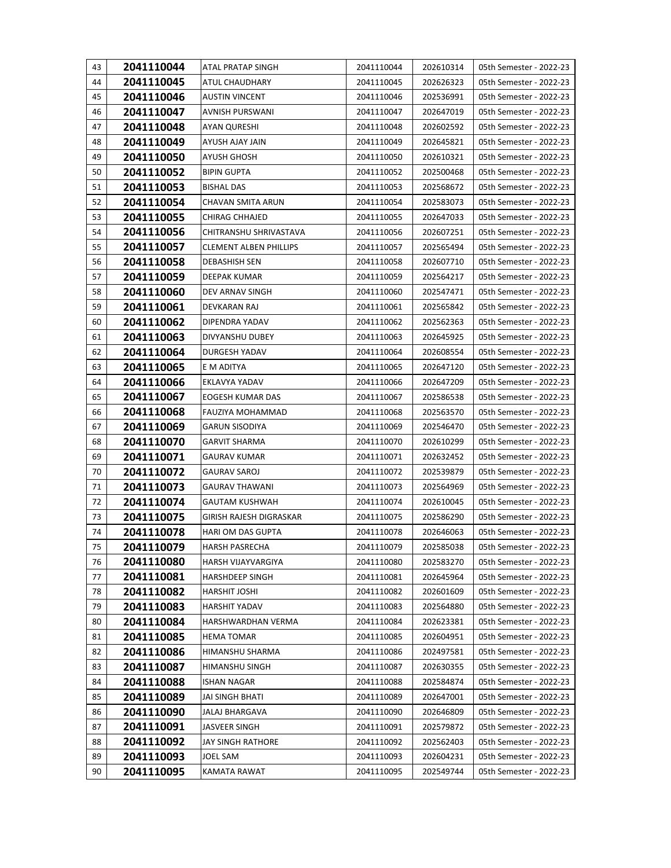| 43 | 2041110044 | ATAL PRATAP SINGH             | 2041110044 | 202610314 | 05th Semester - 2022-23 |
|----|------------|-------------------------------|------------|-----------|-------------------------|
| 44 | 2041110045 | ATUL CHAUDHARY                | 2041110045 | 202626323 | 05th Semester - 2022-23 |
| 45 | 2041110046 | <b>AUSTIN VINCENT</b>         | 2041110046 | 202536991 | 05th Semester - 2022-23 |
| 46 | 2041110047 | AVNISH PURSWANI               | 2041110047 | 202647019 | 05th Semester - 2022-23 |
| 47 | 2041110048 | <b>AYAN QURESHI</b>           | 2041110048 | 202602592 | 05th Semester - 2022-23 |
| 48 | 2041110049 | AYUSH AJAY JAIN               | 2041110049 | 202645821 | 05th Semester - 2022-23 |
| 49 | 2041110050 | AYUSH GHOSH                   | 2041110050 | 202610321 | 05th Semester - 2022-23 |
| 50 | 2041110052 | <b>BIPIN GUPTA</b>            | 2041110052 | 202500468 | 05th Semester - 2022-23 |
| 51 | 2041110053 | <b>BISHAL DAS</b>             | 2041110053 | 202568672 | 05th Semester - 2022-23 |
| 52 | 2041110054 | CHAVAN SMITA ARUN             | 2041110054 | 202583073 | 05th Semester - 2022-23 |
| 53 | 2041110055 | <b>CHIRAG CHHAJED</b>         | 2041110055 | 202647033 | 05th Semester - 2022-23 |
| 54 | 2041110056 | CHITRANSHU SHRIVASTAVA        | 2041110056 | 202607251 | 05th Semester - 2022-23 |
| 55 | 2041110057 | <b>CLEMENT ALBEN PHILLIPS</b> | 2041110057 | 202565494 | 05th Semester - 2022-23 |
| 56 | 2041110058 | <b>DEBASHISH SEN</b>          | 2041110058 | 202607710 | 05th Semester - 2022-23 |
| 57 | 2041110059 | DEEPAK KUMAR                  | 2041110059 | 202564217 | 05th Semester - 2022-23 |
| 58 | 2041110060 | DEV ARNAV SINGH               | 2041110060 | 202547471 | 05th Semester - 2022-23 |
| 59 | 2041110061 | DEVKARAN RAJ                  | 2041110061 | 202565842 | 05th Semester - 2022-23 |
| 60 | 2041110062 | DIPENDRA YADAV                | 2041110062 | 202562363 | 05th Semester - 2022-23 |
| 61 | 2041110063 | DIVYANSHU DUBEY               | 2041110063 | 202645925 | 05th Semester - 2022-23 |
| 62 | 2041110064 | DURGESH YADAV                 | 2041110064 | 202608554 | 05th Semester - 2022-23 |
| 63 | 2041110065 | E M ADITYA                    | 2041110065 | 202647120 | 05th Semester - 2022-23 |
| 64 | 2041110066 | EKLAVYA YADAV                 | 2041110066 | 202647209 | 05th Semester - 2022-23 |
| 65 | 2041110067 | EOGESH KUMAR DAS              | 2041110067 | 202586538 | 05th Semester - 2022-23 |
| 66 | 2041110068 | FAUZIYA MOHAMMAD              | 2041110068 | 202563570 | 05th Semester - 2022-23 |
| 67 | 2041110069 | <b>GARUN SISODIYA</b>         | 2041110069 | 202546470 | 05th Semester - 2022-23 |
| 68 | 2041110070 | <b>GARVIT SHARMA</b>          | 2041110070 | 202610299 | 05th Semester - 2022-23 |
| 69 | 2041110071 | <b>GAURAV KUMAR</b>           | 2041110071 | 202632452 | 05th Semester - 2022-23 |
| 70 | 2041110072 | <b>GAURAV SAROJ</b>           | 2041110072 | 202539879 | 05th Semester - 2022-23 |
| 71 | 2041110073 | <b>GAURAV THAWANI</b>         | 2041110073 | 202564969 | 05th Semester - 2022-23 |
| 72 | 2041110074 | GAUTAM KUSHWAH                | 2041110074 | 202610045 | 05th Semester - 2022-23 |
| 73 | 2041110075 | GIRISH RAJESH DIGRASKAR       | 2041110075 | 202586290 | 05th Semester - 2022-23 |
| 74 | 2041110078 | HARI OM DAS GUPTA             | 2041110078 | 202646063 | 05th Semester - 2022-23 |
| 75 | 2041110079 | <b>HARSH PASRECHA</b>         | 2041110079 | 202585038 | 05th Semester - 2022-23 |
| 76 | 2041110080 | HARSH VIJAYVARGIYA            | 2041110080 | 202583270 | 05th Semester - 2022-23 |
| 77 | 2041110081 | <b>HARSHDEEP SINGH</b>        | 2041110081 | 202645964 | 05th Semester - 2022-23 |
| 78 | 2041110082 | HARSHIT JOSHI                 | 2041110082 | 202601609 | 05th Semester - 2022-23 |
| 79 | 2041110083 | <b>HARSHIT YADAV</b>          | 2041110083 | 202564880 | 05th Semester - 2022-23 |
| 80 | 2041110084 | HARSHWARDHAN VERMA            | 2041110084 | 202623381 | 05th Semester - 2022-23 |
| 81 | 2041110085 | <b>HEMA TOMAR</b>             | 2041110085 | 202604951 | 05th Semester - 2022-23 |
| 82 | 2041110086 | HIMANSHU SHARMA               | 2041110086 | 202497581 | 05th Semester - 2022-23 |
| 83 | 2041110087 | HIMANSHU SINGH                | 2041110087 | 202630355 | 05th Semester - 2022-23 |
| 84 | 2041110088 | <b>ISHAN NAGAR</b>            | 2041110088 | 202584874 | 05th Semester - 2022-23 |
| 85 | 2041110089 | JAI SINGH BHATI               | 2041110089 | 202647001 | 05th Semester - 2022-23 |
| 86 | 2041110090 | JALAJ BHARGAVA                | 2041110090 | 202646809 | 05th Semester - 2022-23 |
| 87 | 2041110091 | JASVEER SINGH                 | 2041110091 | 202579872 | 05th Semester - 2022-23 |
| 88 | 2041110092 | JAY SINGH RATHORE             | 2041110092 | 202562403 | 05th Semester - 2022-23 |
| 89 | 2041110093 | JOEL SAM                      | 2041110093 | 202604231 | 05th Semester - 2022-23 |
| 90 | 2041110095 | KAMATA RAWAT                  | 2041110095 | 202549744 | 05th Semester - 2022-23 |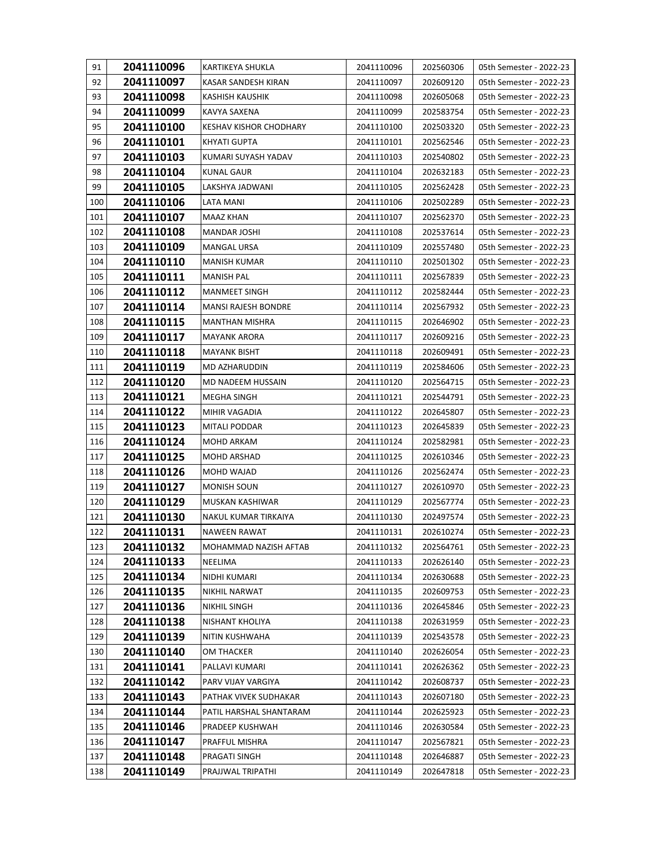| 91  | 2041110096 | KARTIKEYA SHUKLA              | 2041110096 | 202560306 | 05th Semester - 2022-23 |
|-----|------------|-------------------------------|------------|-----------|-------------------------|
| 92  | 2041110097 | KASAR SANDESH KIRAN           | 2041110097 | 202609120 | 05th Semester - 2022-23 |
| 93  | 2041110098 | KASHISH KAUSHIK               | 2041110098 | 202605068 | 05th Semester - 2022-23 |
| 94  | 2041110099 | KAVYA SAXENA                  | 2041110099 | 202583754 | 05th Semester - 2022-23 |
| 95  | 2041110100 | <b>KESHAV KISHOR CHODHARY</b> | 2041110100 | 202503320 | 05th Semester - 2022-23 |
| 96  | 2041110101 | KHYATI GUPTA                  | 2041110101 | 202562546 | 05th Semester - 2022-23 |
| 97  | 2041110103 | KUMARI SUYASH YADAV           | 2041110103 | 202540802 | 05th Semester - 2022-23 |
| 98  | 2041110104 | KUNAL GAUR                    | 2041110104 | 202632183 | 05th Semester - 2022-23 |
| 99  | 2041110105 | LAKSHYA JADWANI               | 2041110105 | 202562428 | 05th Semester - 2022-23 |
| 100 | 2041110106 | LATA MANI                     | 2041110106 | 202502289 | 05th Semester - 2022-23 |
| 101 | 2041110107 | <b>MAAZ KHAN</b>              | 2041110107 | 202562370 | 05th Semester - 2022-23 |
| 102 | 2041110108 | MANDAR JOSHI                  | 2041110108 | 202537614 | 05th Semester - 2022-23 |
| 103 | 2041110109 | <b>MANGAL URSA</b>            | 2041110109 | 202557480 | 05th Semester - 2022-23 |
| 104 | 2041110110 | <b>MANISH KUMAR</b>           | 2041110110 | 202501302 | 05th Semester - 2022-23 |
| 105 | 2041110111 | <b>MANISH PAL</b>             | 2041110111 | 202567839 | 05th Semester - 2022-23 |
| 106 | 2041110112 | <b>MANMEET SINGH</b>          | 2041110112 | 202582444 | 05th Semester - 2022-23 |
| 107 | 2041110114 | MANSI RAJESH BONDRE           | 2041110114 | 202567932 | 05th Semester - 2022-23 |
| 108 | 2041110115 | <b>MANTHAN MISHRA</b>         | 2041110115 | 202646902 | 05th Semester - 2022-23 |
| 109 | 2041110117 | <b>MAYANK ARORA</b>           | 2041110117 | 202609216 | 05th Semester - 2022-23 |
| 110 | 2041110118 | <b>MAYANK BISHT</b>           | 2041110118 | 202609491 | 05th Semester - 2022-23 |
| 111 | 2041110119 | MD AZHARUDDIN                 | 2041110119 | 202584606 | 05th Semester - 2022-23 |
| 112 | 2041110120 | MD NADEEM HUSSAIN             | 2041110120 | 202564715 | 05th Semester - 2022-23 |
| 113 | 2041110121 | MEGHA SINGH                   | 2041110121 | 202544791 | 05th Semester - 2022-23 |
| 114 | 2041110122 | MIHIR VAGADIA                 | 2041110122 | 202645807 | 05th Semester - 2022-23 |
| 115 | 2041110123 | MITALI PODDAR                 | 2041110123 | 202645839 | 05th Semester - 2022-23 |
| 116 | 2041110124 | MOHD ARKAM                    | 2041110124 | 202582981 | 05th Semester - 2022-23 |
| 117 | 2041110125 | MOHD ARSHAD                   | 2041110125 | 202610346 | 05th Semester - 2022-23 |
| 118 | 2041110126 | MOHD WAJAD                    | 2041110126 | 202562474 | 05th Semester - 2022-23 |
| 119 | 2041110127 | <b>MONISH SOUN</b>            | 2041110127 | 202610970 | 05th Semester - 2022-23 |
| 120 | 2041110129 | MUSKAN KASHIWAR               | 2041110129 | 202567774 | 05th Semester - 2022-23 |
| 121 | 2041110130 | NAKUL KUMAR TIRKAIYA          | 2041110130 | 202497574 | 05th Semester - 2022-23 |
| 122 | 2041110131 | NAWEEN RAWAT                  | 2041110131 | 202610274 | 05th Semester - 2022-23 |
| 123 | 2041110132 | MOHAMMAD NAZISH AFTAB         | 2041110132 | 202564761 | 05th Semester - 2022-23 |
| 124 | 2041110133 | NEELIMA                       | 2041110133 | 202626140 | 05th Semester - 2022-23 |
| 125 | 2041110134 | NIDHI KUMARI                  | 2041110134 | 202630688 | 05th Semester - 2022-23 |
| 126 | 2041110135 | NIKHIL NARWAT                 | 2041110135 | 202609753 | 05th Semester - 2022-23 |
| 127 | 2041110136 | <b>NIKHIL SINGH</b>           | 2041110136 | 202645846 | 05th Semester - 2022-23 |
| 128 | 2041110138 | NISHANT KHOLIYA               | 2041110138 | 202631959 | 05th Semester - 2022-23 |
| 129 | 2041110139 | NITIN KUSHWAHA                | 2041110139 | 202543578 | 05th Semester - 2022-23 |
| 130 | 2041110140 | OM THACKER                    | 2041110140 | 202626054 | 05th Semester - 2022-23 |
| 131 | 2041110141 | PALLAVI KUMARI                | 2041110141 | 202626362 | 05th Semester - 2022-23 |
| 132 | 2041110142 | PARV VIJAY VARGIYA            | 2041110142 | 202608737 | 05th Semester - 2022-23 |
| 133 | 2041110143 | PATHAK VIVEK SUDHAKAR         | 2041110143 | 202607180 | 05th Semester - 2022-23 |
| 134 | 2041110144 | PATIL HARSHAL SHANTARAM       | 2041110144 | 202625923 | 05th Semester - 2022-23 |
| 135 | 2041110146 | PRADEEP KUSHWAH               | 2041110146 | 202630584 | 05th Semester - 2022-23 |
| 136 | 2041110147 | PRAFFUL MISHRA                | 2041110147 | 202567821 | 05th Semester - 2022-23 |
| 137 | 2041110148 | PRAGATI SINGH                 | 2041110148 | 202646887 | 05th Semester - 2022-23 |
| 138 | 2041110149 | PRAJJWAL TRIPATHI             | 2041110149 | 202647818 | 05th Semester - 2022-23 |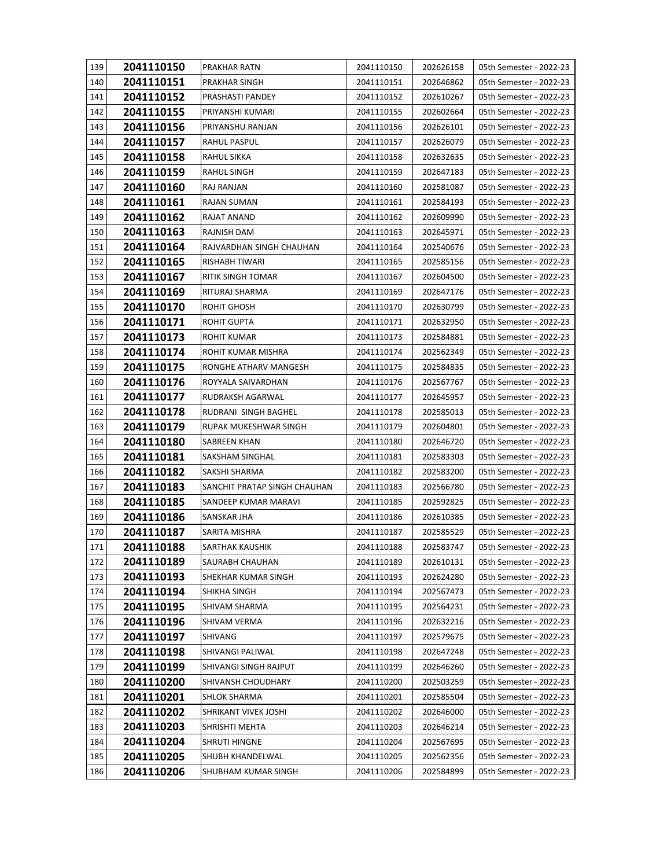| 139 | 2041110150 | PRAKHAR RATN                 | 2041110150 | 202626158 | 05th Semester - 2022-23 |
|-----|------------|------------------------------|------------|-----------|-------------------------|
| 140 | 2041110151 | PRAKHAR SINGH                | 2041110151 | 202646862 | 05th Semester - 2022-23 |
| 141 | 2041110152 | PRASHASTI PANDEY             | 2041110152 | 202610267 | 05th Semester - 2022-23 |
| 142 | 2041110155 | PRIYANSHI KUMARI             | 2041110155 | 202602664 | 05th Semester - 2022-23 |
| 143 | 2041110156 | PRIYANSHU RANJAN             | 2041110156 | 202626101 | 05th Semester - 2022-23 |
| 144 | 2041110157 | RAHUL PASPUL                 | 2041110157 | 202626079 | 05th Semester - 2022-23 |
| 145 | 2041110158 | RAHUL SIKKA                  | 2041110158 | 202632635 | 05th Semester - 2022-23 |
| 146 | 2041110159 | RAHUL SINGH                  | 2041110159 | 202647183 | 05th Semester - 2022-23 |
| 147 | 2041110160 | RAJ RANJAN                   | 2041110160 | 202581087 | 05th Semester - 2022-23 |
| 148 | 2041110161 | RAJAN SUMAN                  | 2041110161 | 202584193 | 05th Semester - 2022-23 |
| 149 | 2041110162 | RAJAT ANAND                  | 2041110162 | 202609990 | 05th Semester - 2022-23 |
| 150 | 2041110163 | RAJNISH DAM                  | 2041110163 | 202645971 | 05th Semester - 2022-23 |
| 151 | 2041110164 | RAJVARDHAN SINGH CHAUHAN     | 2041110164 | 202540676 | 05th Semester - 2022-23 |
| 152 | 2041110165 | RISHABH TIWARI               | 2041110165 | 202585156 | 05th Semester - 2022-23 |
| 153 | 2041110167 | <b>RITIK SINGH TOMAR</b>     | 2041110167 | 202604500 | 05th Semester - 2022-23 |
| 154 | 2041110169 | RITURAJ SHARMA               | 2041110169 | 202647176 | 05th Semester - 2022-23 |
| 155 | 2041110170 | ROHIT GHOSH                  | 2041110170 | 202630799 | 05th Semester - 2022-23 |
| 156 | 2041110171 | ROHIT GUPTA                  | 2041110171 | 202632950 | 05th Semester - 2022-23 |
| 157 | 2041110173 | ROHIT KUMAR                  | 2041110173 | 202584881 | 05th Semester - 2022-23 |
| 158 | 2041110174 | ROHIT KUMAR MISHRA           | 2041110174 | 202562349 | 05th Semester - 2022-23 |
| 159 | 2041110175 | RONGHE ATHARV MANGESH        | 2041110175 | 202584835 | 05th Semester - 2022-23 |
| 160 | 2041110176 | ROYYALA SAIVARDHAN           | 2041110176 | 202567767 | 05th Semester - 2022-23 |
| 161 | 2041110177 | RUDRAKSH AGARWAL             | 2041110177 | 202645957 | 05th Semester - 2022-23 |
| 162 | 2041110178 | RUDRANI SINGH BAGHEL         | 2041110178 | 202585013 | 05th Semester - 2022-23 |
| 163 | 2041110179 | RUPAK MUKESHWAR SINGH        | 2041110179 | 202604801 | 05th Semester - 2022-23 |
| 164 | 2041110180 | SABREEN KHAN                 | 2041110180 | 202646720 | 05th Semester - 2022-23 |
| 165 | 2041110181 | SAKSHAM SINGHAL              | 2041110181 | 202583303 | 05th Semester - 2022-23 |
| 166 | 2041110182 | SAKSHI SHARMA                | 2041110182 | 202583200 | 05th Semester - 2022-23 |
| 167 | 2041110183 | SANCHIT PRATAP SINGH CHAUHAN | 2041110183 | 202566780 | 05th Semester - 2022-23 |
| 168 | 2041110185 | SANDEEP KUMAR MARAVI         | 2041110185 | 202592825 | 05th Semester - 2022-23 |
| 169 | 2041110186 | SANSKAR JHA                  | 2041110186 | 202610385 | 05th Semester - 2022-23 |
| 170 | 2041110187 | SARITA MISHRA                | 2041110187 | 202585529 | 05th Semester - 2022-23 |
| 171 | 2041110188 | SARTHAK KAUSHIK              | 2041110188 | 202583747 | 05th Semester - 2022-23 |
| 172 | 2041110189 | SAURABH CHAUHAN              | 2041110189 | 202610131 | 05th Semester - 2022-23 |
| 173 | 2041110193 | SHEKHAR KUMAR SINGH          | 2041110193 | 202624280 | 05th Semester - 2022-23 |
| 174 | 2041110194 | SHIKHA SINGH                 | 2041110194 | 202567473 | 05th Semester - 2022-23 |
| 175 | 2041110195 | SHIVAM SHARMA                | 2041110195 | 202564231 | 05th Semester - 2022-23 |
| 176 | 2041110196 | SHIVAM VERMA                 | 2041110196 | 202632216 | 05th Semester - 2022-23 |
| 177 | 2041110197 | SHIVANG                      | 2041110197 | 202579675 | 05th Semester - 2022-23 |
| 178 | 2041110198 | SHIVANGI PALIWAL             | 2041110198 | 202647248 | 05th Semester - 2022-23 |
| 179 | 2041110199 | SHIVANGI SINGH RAJPUT        | 2041110199 | 202646260 | 05th Semester - 2022-23 |
| 180 | 2041110200 | SHIVANSH CHOUDHARY           | 2041110200 | 202503259 | 05th Semester - 2022-23 |
| 181 | 2041110201 | <b>SHLOK SHARMA</b>          | 2041110201 | 202585504 | 05th Semester - 2022-23 |
| 182 | 2041110202 | SHRIKANT VIVEK JOSHI         | 2041110202 | 202646000 | 05th Semester - 2022-23 |
| 183 | 2041110203 | SHRISHTI MEHTA               | 2041110203 | 202646214 | 05th Semester - 2022-23 |
| 184 | 2041110204 | SHRUTI HINGNE                | 2041110204 | 202567695 | 05th Semester - 2022-23 |
| 185 | 2041110205 | SHUBH KHANDELWAL             | 2041110205 | 202562356 | 05th Semester - 2022-23 |
| 186 | 2041110206 | SHUBHAM KUMAR SINGH          | 2041110206 | 202584899 | 05th Semester - 2022-23 |